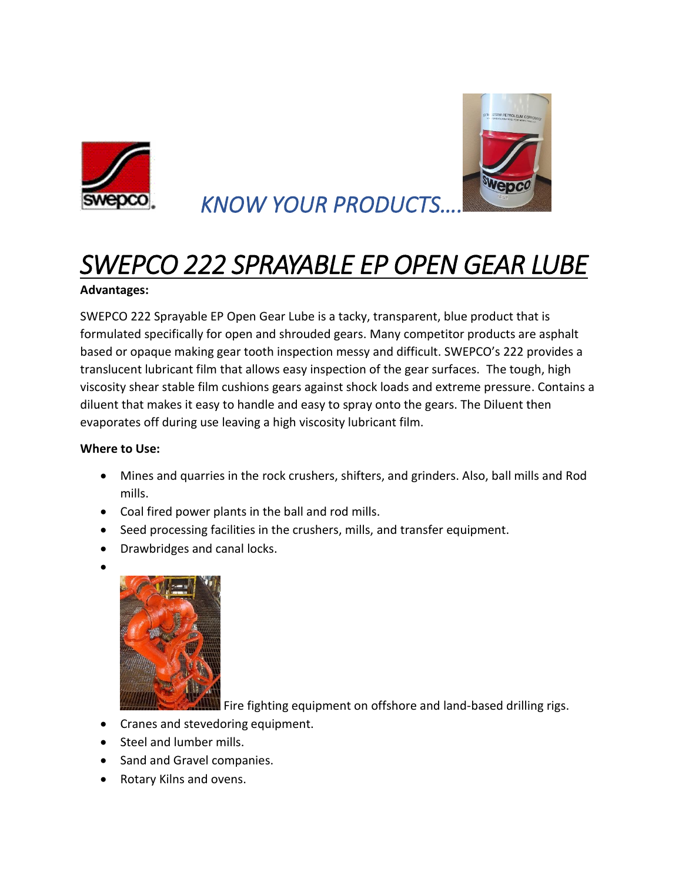



 *KNOW YOUR PRODUCTS….* 

## *SWEPCO 222 SPRAYABLE EP OPEN GEAR LUBE*

## **Advantages:**

SWEPCO 222 Sprayable EP Open Gear Lube is a tacky, transparent, blue product that is formulated specifically for open and shrouded gears. Many competitor products are asphalt based or opaque making gear tooth inspection messy and difficult. SWEPCO's 222 provides a translucent lubricant film that allows easy inspection of the gear surfaces. The tough, high viscosity shear stable film cushions gears against shock loads and extreme pressure. Contains a diluent that makes it easy to handle and easy to spray onto the gears. The Diluent then evaporates off during use leaving a high viscosity lubricant film.

## **Where to Use:**

- Mines and quarries in the rock crushers, shifters, and grinders. Also, ball mills and Rod mills.
- Coal fired power plants in the ball and rod mills.
- Seed processing facilities in the crushers, mills, and transfer equipment.
- Drawbridges and canal locks.
- •



Fire fighting equipment on offshore and land-based drilling rigs.

- Cranes and stevedoring equipment.
- Steel and lumber mills.
- Sand and Gravel companies.
- Rotary Kilns and ovens.